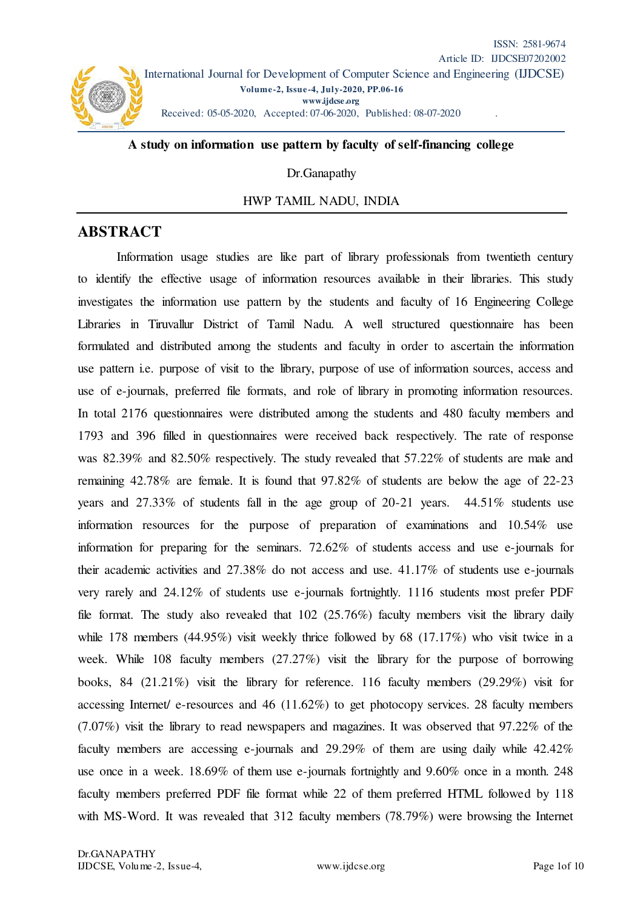

### **A study on information use pattern by faculty of self-financing college**

Dr.Ganapathy

HWP TAMIL NADU, INDIA

# **ABSTRACT**

Information usage studies are like part of library professionals from twentieth century to identify the effective usage of information resources available in their libraries. This study investigates the information use pattern by the students and faculty of 16 Engineering College Libraries in Tiruvallur District of Tamil Nadu. A well structured questionnaire has been formulated and distributed among the students and faculty in order to ascertain the information use pattern i.e. purpose of visit to the library, purpose of use of information sources, access and use of e-journals, preferred file formats, and role of library in promoting information resources. In total 2176 questionnaires were distributed among the students and 480 faculty members and 1793 and 396 filled in questionnaires were received back respectively. The rate of response was 82.39% and 82.50% respectively. The study revealed that 57.22% of students are male and remaining 42.78% are female. It is found that 97.82% of students are below the age of 22-23 years and 27.33% of students fall in the age group of 20-21 years. 44.51% students use information resources for the purpose of preparation of examinations and 10.54% use information for preparing for the seminars. 72.62% of students access and use e-journals for their academic activities and 27.38% do not access and use. 41.17% of students use e-journals very rarely and 24.12% of students use e-journals fortnightly. 1116 students most prefer PDF file format. The study also revealed that  $102$  (25.76%) faculty members visit the library daily while 178 members (44.95%) visit weekly thrice followed by 68 (17.17%) who visit twice in a week. While 108 faculty members (27.27%) visit the library for the purpose of borrowing books, 84 (21.21%) visit the library for reference. 116 faculty members (29.29%) visit for accessing Internet/ e-resources and 46 (11.62%) to get photocopy services. 28 faculty members (7.07%) visit the library to read newspapers and magazines. It was observed that 97.22% of the faculty members are accessing e-journals and 29.29% of them are using daily while 42.42% use once in a week. 18.69% of them use e-journals fortnightly and 9.60% once in a month. 248 faculty members preferred PDF file format while 22 of them preferred HTML followed by 118 with MS-Word. It was revealed that 312 faculty members (78.79%) were browsing the Internet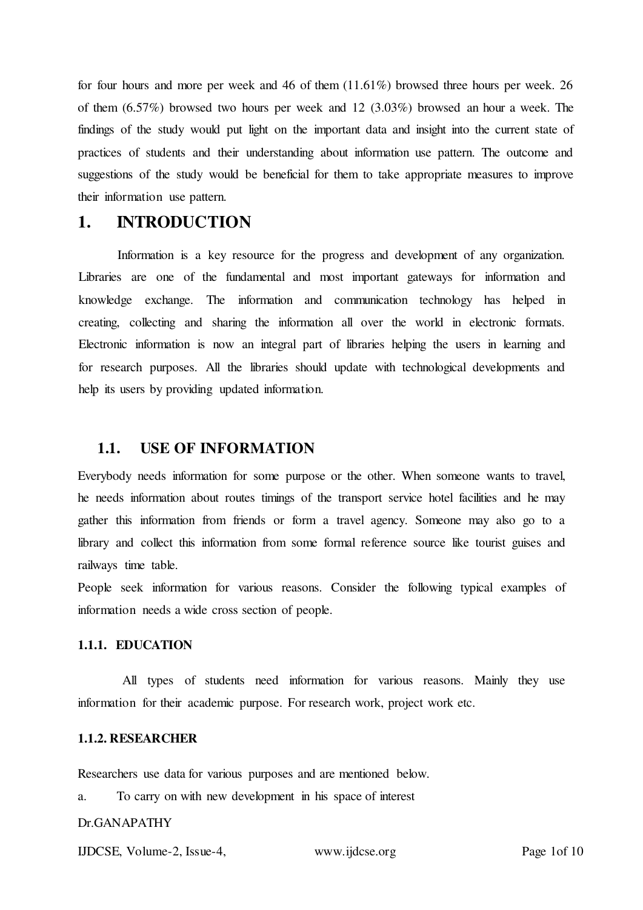for four hours and more per week and 46 of them (11.61%) browsed three hours per week. 26 of them (6.57%) browsed two hours per week and 12 (3.03%) browsed an hour a week. The findings of the study would put light on the important data and insight into the current state of practices of students and their understanding about information use pattern. The outcome and suggestions of the study would be beneficial for them to take appropriate measures to improve their information use pattern.

# **1. INTRODUCTION**

Information is a key resource for the progress and development of any organization. Libraries are one of the fundamental and most important gateways for information and knowledge exchange. The information and communication technology has helped in creating, collecting and sharing the information all over the world in electronic formats. Electronic information is now an integral part of libraries helping the users in learning and for research purposes. All the libraries should update with technological developments and help its users by providing updated information.

# **1.1. USE OF INFORMATION**

Everybody needs information for some purpose or the other. When someone wants to travel, he needs information about routes timings of the transport service hotel facilities and he may gather this information from friends or form a travel agency. Someone may also go to a library and collect this information from some formal reference source like tourist guises and railways time table.

People seek information for various reasons. Consider the following typical examples of information needs a wide cross section of people.

## **1.1.1. EDUCATION**

All types of students need information for various reasons. Mainly they use information for their academic purpose. For research work, project work etc.

## **1.1.2. RESEARCHER**

Researchers use data for various purposes and are mentioned below.

a. To carry on with new development in his space of interest

### Dr.GANAPATHY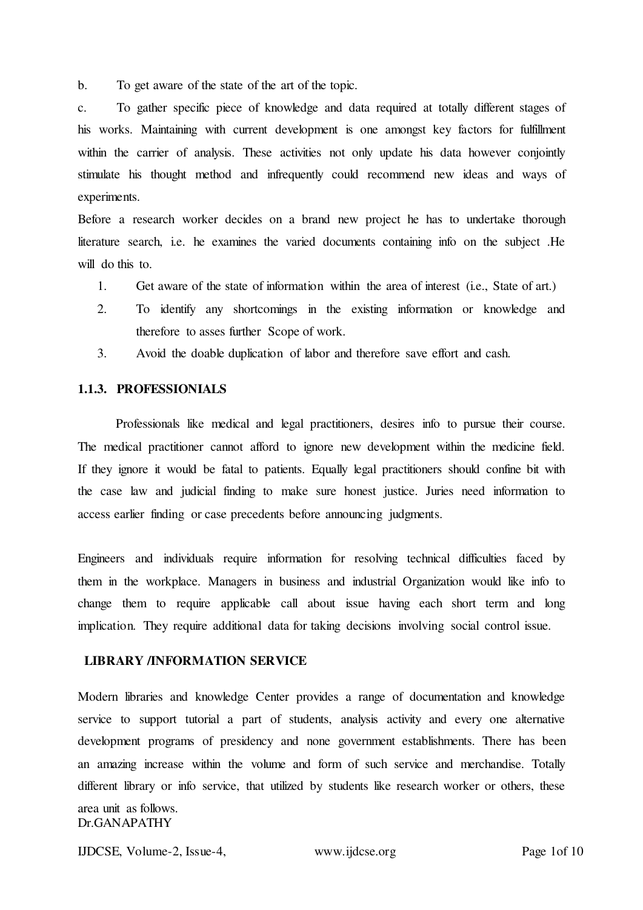b. To get aware of the state of the art of the topic.

c. To gather specific piece of knowledge and data required at totally different stages of his works. Maintaining with current development is one amongst key factors for fulfillment within the carrier of analysis. These activities not only update his data however conjointly stimulate his thought method and infrequently could recommend new ideas and ways of experiments.

Before a research worker decides on a brand new project he has to undertake thorough literature search, i.e. he examines the varied documents containing info on the subject .He will do this to.

- 1. Get aware of the state of information within the area of interest (i.e., State of art.)
- 2. To identify any shortcomings in the existing information or knowledge and therefore to asses further Scope of work.
- 3. Avoid the doable duplication of labor and therefore save effort and cash.

### **1.1.3. PROFESSIONIALS**

Professionals like medical and legal practitioners, desires info to pursue their course. The medical practitioner cannot afford to ignore new development within the medicine field. If they ignore it would be fatal to patients. Equally legal practitioners should confine bit with the case law and judicial finding to make sure honest justice. Juries need information to access earlier finding or case precedents before announcing judgments.

Engineers and individuals require information for resolving technical difficulties faced by them in the workplace. Managers in business and industrial Organization would like info to change them to require applicable call about issue having each short term and long implication. They require additional data for taking decisions involving social control issue.

## **LIBRARY /INFORMATION SERVICE**

Dr.GANAPATHY Modern libraries and knowledge Center provides a range of documentation and knowledge service to support tutorial a part of students, analysis activity and every one alternative development programs of presidency and none government establishments. There has been an amazing increase within the volume and form of such service and merchandise. Totally different library or info service, that utilized by students like research worker or others, these area unit as follows.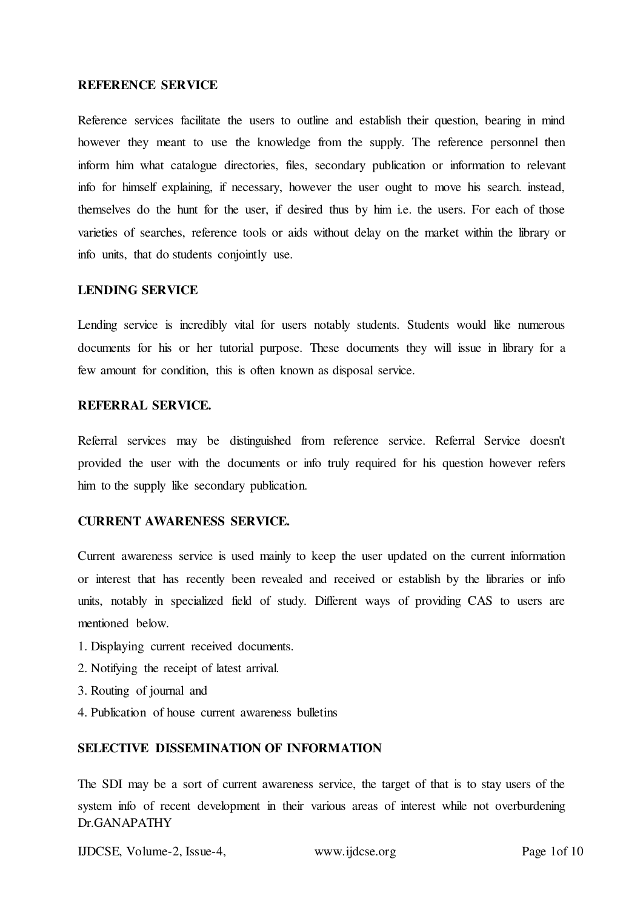#### **REFERENCE SERVICE**

Reference services facilitate the users to outline and establish their question, bearing in mind however they meant to use the knowledge from the supply. The reference personnel then inform him what catalogue directories, files, secondary publication or information to relevant info for himself explaining, if necessary, however the user ought to move his search. instead, themselves do the hunt for the user, if desired thus by him i.e. the users. For each of those varieties of searches, reference tools or aids without delay on the market within the library or info units, that do students conjointly use.

### **LENDING SERVICE**

Lending service is incredibly vital for users notably students. Students would like numerous documents for his or her tutorial purpose. These documents they will issue in library for a few amount for condition, this is often known as disposal service.

## **REFERRAL SERVICE.**

Referral services may be distinguished from reference service. Referral Service doesn't provided the user with the documents or info truly required for his question however refers him to the supply like secondary publication.

# **CURRENT AWARENESS SERVICE.**

Current awareness service is used mainly to keep the user updated on the current information or interest that has recently been revealed and received or establish by the libraries or info units, notably in specialized field of study. Different ways of providing CAS to users are mentioned below.

- 1. Displaying current received documents.
- 2. Notifying the receipt of latest arrival.
- 3. Routing of journal and
- 4. Publication of house current awareness bulletins

# **SELECTIVE DISSEMINATION OF INFORMATION**

Dr.GANAPATHY The SDI may be a sort of current awareness service, the target of that is to stay users of the system info of recent development in their various areas of interest while not overburdening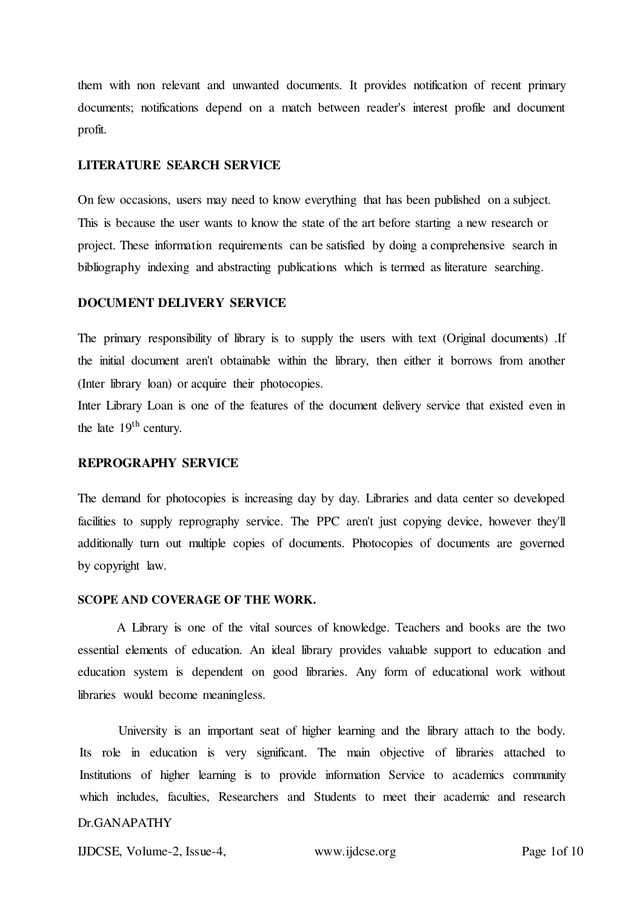them with non relevant and unwanted documents. It provides notification of recent primary documents; notifications depend on a match between reader's interest profile and document profit.

#### **LITERATURE SEARCH SERVICE**

On few occasions, users may need to know everything that has been published on a subject. This is because the user wants to know the state of the art before starting a new research or project. These information requirements can be satisfied by doing a comprehensive search in bibliography indexing and abstracting publications which is termed as literature searching.

## **DOCUMENT DELIVERY SERVICE**

The primary responsibility of library is to supply the users with text (Original documents) .If the initial document aren't obtainable within the library, then either it borrows from another (Inter library loan) or acquire their photocopies.

Inter Library Loan is one of the features of the document delivery service that existed even in the late  $19<sup>th</sup>$  century.

# **REPROGRAPHY SERVICE**

The demand for photocopies is increasing day by day. Libraries and data center so developed facilities to supply reprography service. The PPC aren't just copying device, however they'll additionally turn out multiple copies of documents. Photocopies of documents are governed by copyright law.

#### **SCOPE AND COVERAGE OF THE WORK.**

A Library is one of the vital sources of knowledge. Teachers and books are the two essential elements of education. An ideal library provides valuable support to education and education system is dependent on good libraries. Any form of educational work without libraries would become meaningless.

University is an important seat of higher learning and the library attach to the body. Its role in education is very significant. The main objective of libraries attached to Institutions of higher learning is to provide information Service to academics community which includes, faculties, Researchers and Students to meet their academic and research

# Dr.GANAPATHY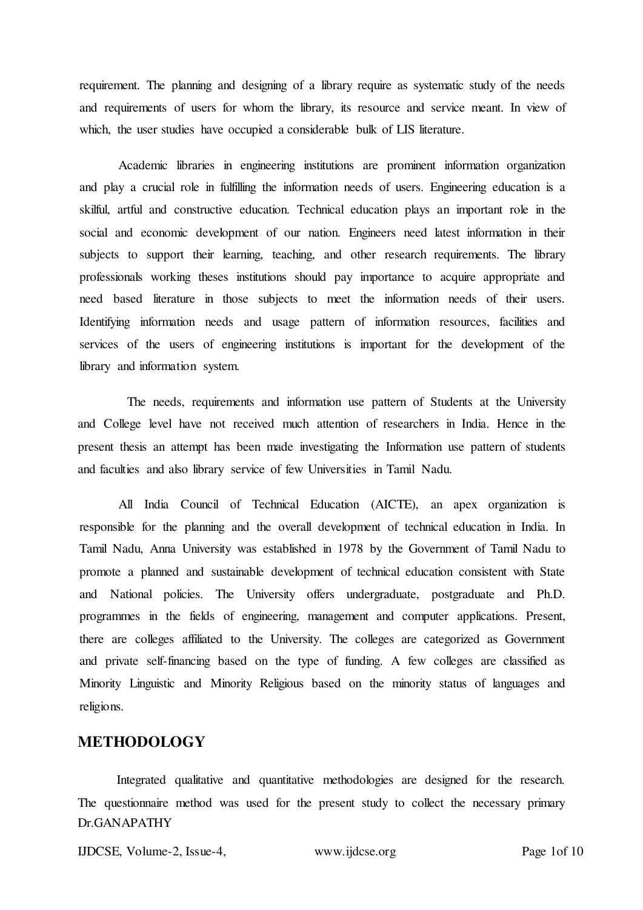requirement. The planning and designing of a library require as systematic study of the needs and requirements of users for whom the library, its resource and service meant. In view of which, the user studies have occupied a considerable bulk of LIS literature.

Academic libraries in engineering institutions are prominent information organization and play a crucial role in fulfilling the information needs of users. Engineering education is a skilful, artful and constructive education. Technical education plays an important role in the social and economic development of our nation. Engineers need latest information in their subjects to support their learning, teaching, and other research requirements. The library professionals working theses institutions should pay importance to acquire appropriate and need based literature in those subjects to meet the information needs of their users. Identifying information needs and usage pattern of information resources, facilities and services of the users of engineering institutions is important for the development of the library and information system.

The needs, requirements and information use pattern of Students at the University and College level have not received much attention of researchers in India. Hence in the present thesis an attempt has been made investigating the Information use pattern of students and faculties and also library service of few Universities in Tamil Nadu.

All India Council of Technical Education (AICTE), an apex organization is responsible for the planning and the overall development of technical education in India. In Tamil Nadu, Anna University was established in 1978 by the Government of Tamil Nadu to promote a planned and sustainable development of technical education consistent with State and National policies. The University offers undergraduate, postgraduate and Ph.D. programmes in the fields of engineering, management and computer applications. Present, there are colleges affiliated to the University. The colleges are categorized as Government and private self-financing based on the type of funding. A few colleges are classified as Minority Linguistic and Minority Religious based on the minority status of languages and religions.

# **METHODOLOGY**

Dr.GANAPATHY Integrated qualitative and quantitative methodologies are designed for the research. The questionnaire method was used for the present study to collect the necessary primary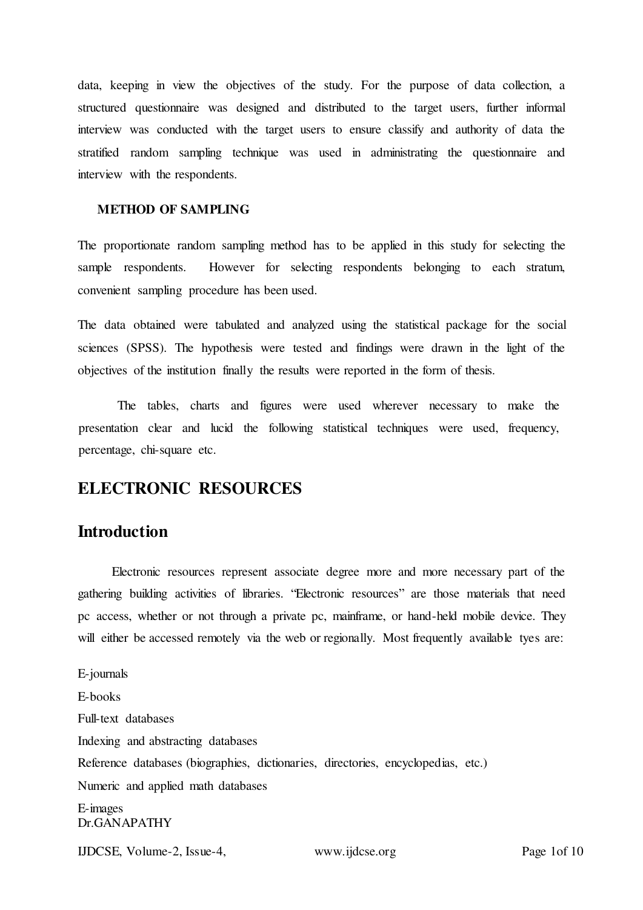data, keeping in view the objectives of the study. For the purpose of data collection, a structured questionnaire was designed and distributed to the target users, further informal interview was conducted with the target users to ensure classify and authority of data the stratified random sampling technique was used in administrating the questionnaire and interview with the respondents.

### **METHOD OF SAMPLING**

The proportionate random sampling method has to be applied in this study for selecting the sample respondents. However for selecting respondents belonging to each stratum, convenient sampling procedure has been used.

The data obtained were tabulated and analyzed using the statistical package for the social sciences (SPSS). The hypothesis were tested and findings were drawn in the light of the objectives of the institution finally the results were reported in the form of thesis.

The tables, charts and figures were used wherever necessary to make the presentation clear and lucid the following statistical techniques were used, frequency, percentage, chi-square etc.

# **ELECTRONIC RESOURCES**

# **Introduction**

Electronic resources represent associate degree more and more necessary part of the gathering building activities of libraries. "Electronic resources" are those materials that need pc access, whether or not through a private pc, mainframe, or hand-held mobile device. They will either be accessed remotely via the web or regionally. Most frequently available tyes are:

Dr.GANAPATHY E-journals E-books Full-text databases Indexing and abstracting databases Reference databases (biographies, dictionaries, directories, encyclopedias, etc.) Numeric and applied math databases E-images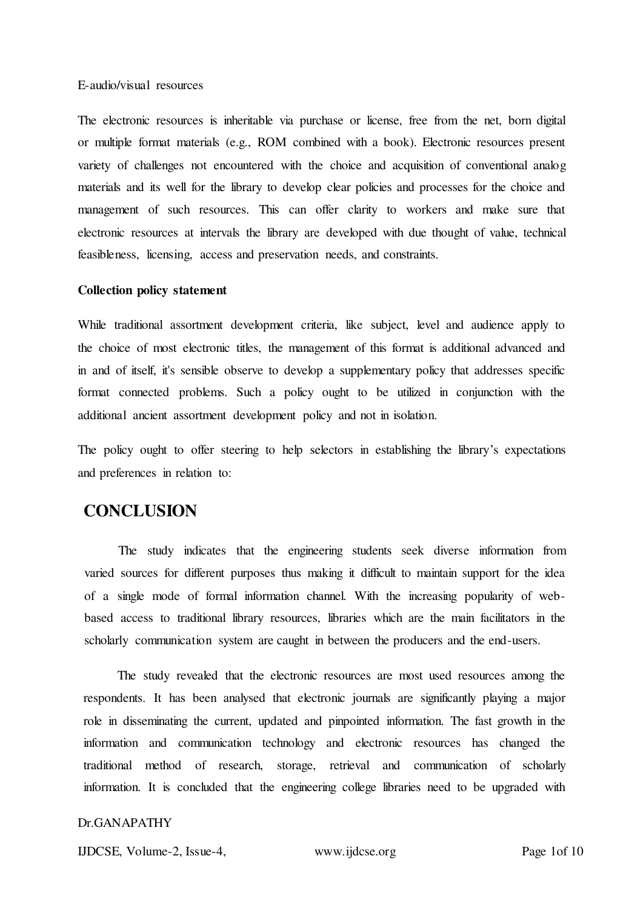#### E-audio/visual resources

The electronic resources is inheritable via purchase or license, free from the net, born digital or multiple format materials (e.g., ROM combined with a book). Electronic resources present variety of challenges not encountered with the choice and acquisition of conventional analog materials and its well for the library to develop clear policies and processes for the choice and management of such resources. This can offer clarity to workers and make sure that electronic resources at intervals the library are developed with due thought of value, technical feasibleness, licensing, access and preservation needs, and constraints.

#### **Collection policy statement**

While traditional assortment development criteria, like subject, level and audience apply to the choice of most electronic titles, the management of this format is additional advanced and in and of itself, it's sensible observe to develop a supplementary policy that addresses specific format connected problems. Such a policy ought to be utilized in conjunction with the additional ancient assortment development policy and not in isolation.

The policy ought to offer steering to help selectors in establishing the library's expectations and preferences in relation to:

# **CONCLUSION**

The study indicates that the engineering students seek diverse information from varied sources for different purposes thus making it difficult to maintain support for the idea of a single mode of formal information channel. With the increasing popularity of webbased access to traditional library resources, libraries which are the main facilitators in the scholarly communication system are caught in between the producers and the end-users.

The study revealed that the electronic resources are most used resources among the respondents. It has been analysed that electronic journals are significantly playing a major role in disseminating the current, updated and pinpointed information. The fast growth in the information and communication technology and electronic resources has changed the traditional method of research, storage, retrieval and communication of scholarly information. It is concluded that the engineering college libraries need to be upgraded with

### Dr.GANAPATHY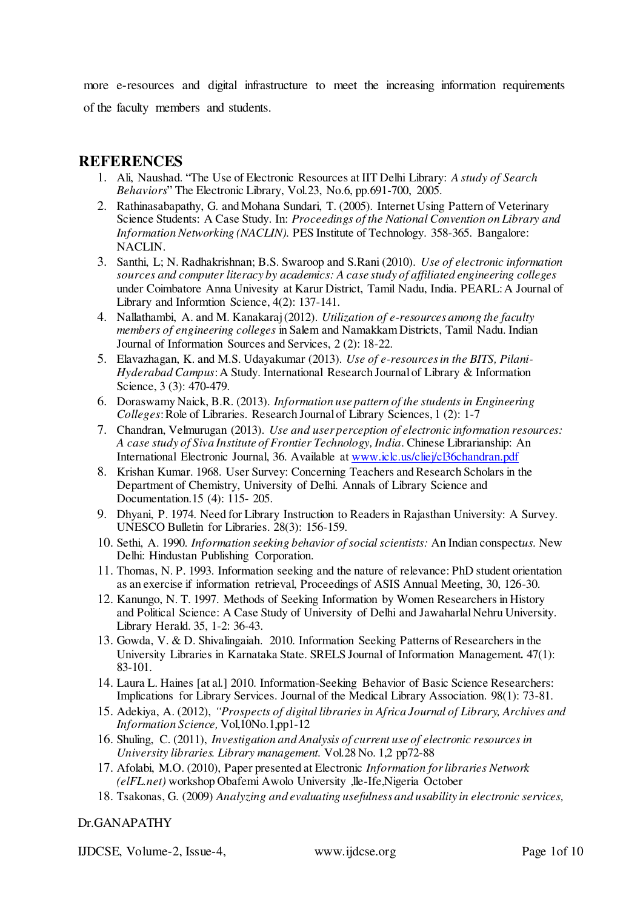more e-resources and digital infrastructure to meet the increasing information requirements of the faculty members and students.

# **REFERENCES**

- 1. Ali, Naushad. "The Use of Electronic Resources at IIT Delhi Library: *A study of Search Behaviors*" The Electronic Library, Vol.23, No.6, pp.691-700, 2005.
- 2. Rathinasabapathy, G. and Mohana Sundari, T. (2005). Internet Using Pattern of Veterinary Science Students: A Case Study. In: *Proceedings of the National Convention on Library and Information Networking (NACLIN).* PES Institute of Technology. 358-365. Bangalore: NACLIN.
- 3. Santhi, L; N. Radhakrishnan; B.S. Swaroop and S.Rani (2010). *Use of electronic information sources and computer literacy by academics: A case study of affiliated engineering colleges* under Coimbatore Anna Univesity at Karur District, Tamil Nadu, India. PEARL: A Journal of Library and Informtion Science, 4(2): 137-141.
- 4. Nallathambi, A. and M. Kanakaraj (2012). *Utilization of e-resources among the faculty members of engineering colleges* in Salem and Namakkam Districts, Tamil Nadu. Indian Journal of Information Sources and Services, 2 (2): 18-22.
- 5. Elavazhagan, K. and M.S. Udayakumar (2013). *Use of e-resources in the BITS, Pilani-Hyderabad Campus*: A Study. International Research Journal of Library & Information Science, 3 (3): 470-479.
- 6. Doraswamy Naick, B.R. (2013). *Information use pattern of the students in Engineering Colleges*: Role of Libraries. Research Journal of Library Sciences, 1 (2): 1-7
- 7. Chandran, Velmurugan (2013). *Use and user perception of electronic information resources: A case study of Siva Institute of Frontier Technology, India*. Chinese Librarianship: An International Electronic Journal, 36. Available a[t www.iclc.us/cliej/cl36chandran.pdf](http://www.iclc.us/cliej/cl36chandran.pdf)
- 8. Krishan Kumar. 1968. User Survey: Concerning Teachers and Research Scholars in the Department of Chemistry, University of Delhi. Annals of Library Science and Documentation.15 (4): 115- 205.
- 9. Dhyani, P. 1974. Need for Library Instruction to Readers in Rajasthan University: A Survey. UNESCO Bulletin for Libraries. 28(3): 156-159.
- 10. Sethi, A. 1990. *Information seeking behavior of social scientists:* An Indian conspect*us.* New Delhi: Hindustan Publishing Corporation.
- 11. Thomas, N. P. 1993. Information seeking and the nature of relevance: PhD student orientation as an exercise if information retrieval, Proceedings of ASIS Annual Meeting, 30, 126-30.
- 12. Kanungo, N. T. 1997. Methods of Seeking Information by Women Researchers in History and Political Science: A Case Study of University of Delhi and Jawaharlal Nehru University. Library Herald. 35, 1-2: 36-43.
- 13. Gowda, V. & D. Shivalingaiah. 2010. Information Seeking Patterns of Researchers in the University Libraries in Karnataka State. SRELS Journal of Information Management*.* 47(1): 83-101.
- 14. Laura L. Haines [at al.] 2010. Information-Seeking Behavior of Basic Science Researchers: Implications for Library Services. Journal of the Medical Library Association. 98(1): 73-81.
- 15. Adekiya, A. (2012), *"Prospects of digital libraries in Africa Journal of Library, Archives and Information Science,* Vol,10No.1,pp1-12
- 16. Shuling, C. (2011), *Investigation and Analysis of current use of electronic resources in University libraries. Library management.* Vol.28 No. 1,2 pp72-88
- 17. Afolabi, M.O. (2010), Paper presented at Electronic *Information for libraries Network (elFL.net)* workshop Obafemi Awolo University ,lle-Ife,Nigeria October
- 18. Tsakonas, G. (2009) *Analyzing and evaluating usefulness and usability in electronic services,*

## Dr.GANAPATHY